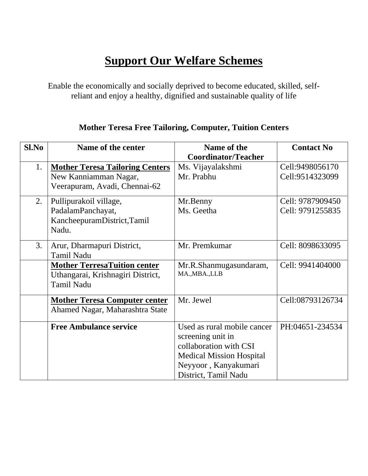## **Support Our Welfare Schemes**

Enable the economically and socially deprived to become educated, skilled, selfreliant and enjoy a healthy, dignified and sustainable quality of life

| <b>Mother Teresa Free Tailoring, Computer, Tuition Centers</b> |  |  |  |  |  |
|----------------------------------------------------------------|--|--|--|--|--|
|----------------------------------------------------------------|--|--|--|--|--|

| Sl.No | Name of the center                     | Name of the                     | <b>Contact No</b> |
|-------|----------------------------------------|---------------------------------|-------------------|
|       |                                        | <b>Coordinator/Teacher</b>      |                   |
| 1.    | <b>Mother Teresa Tailoring Centers</b> | Ms. Vijayalakshmi               | Cell:9498056170   |
|       | New Kanniamman Nagar,                  | Mr. Prabhu                      | Cell:9514323099   |
|       | Veerapuram, Avadi, Chennai-62          |                                 |                   |
| 2.    | Pullipurakoil village,                 | Mr.Benny                        | Cell: 9787909450  |
|       | PadalamPanchayat,                      | Ms. Geetha                      | Cell: 9791255835  |
|       | KancheepuramDistrict, Tamil            |                                 |                   |
|       | Nadu.                                  |                                 |                   |
| 3.    | Arur, Dharmapuri District,             | Mr. Premkumar                   | Cell: 8098633095  |
|       | <b>Tamil Nadu</b>                      |                                 |                   |
|       | <b>Mother TerresaTuition center</b>    | Mr.R.Shanmugasundaram,          | Cell: 9941404000  |
|       | Uthangarai, Krishnagiri District,      | MA., MBA., LLB                  |                   |
|       | <b>Tamil Nadu</b>                      |                                 |                   |
|       | <b>Mother Teresa Computer center</b>   | Mr. Jewel                       | Cell:08793126734  |
|       | Ahamed Nagar, Maharashtra State        |                                 |                   |
|       |                                        |                                 |                   |
|       | <b>Free Ambulance service</b>          | Used as rural mobile cancer     | PH:04651-234534   |
|       |                                        | screening unit in               |                   |
|       |                                        | collaboration with CSI          |                   |
|       |                                        | <b>Medical Mission Hospital</b> |                   |
|       |                                        | Neyyoor, Kanyakumari            |                   |
|       |                                        | District, Tamil Nadu            |                   |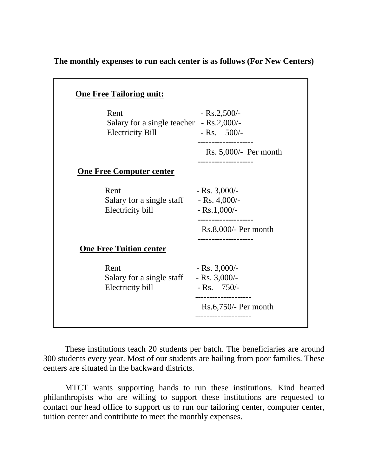**The monthly expenses to run each center is as follows (For New Centers)** 

| Rent<br>Salary for a single teacher - Rs.2,000/-<br><b>Electricity Bill</b> | $-Rs.2,500/$<br>$-Rs. 500/-$                                |
|-----------------------------------------------------------------------------|-------------------------------------------------------------|
|                                                                             | ------------------                                          |
|                                                                             | Rs. $5,000/-$ Per month                                     |
| <b>One Free Computer center</b>                                             |                                                             |
| Rent                                                                        | $-Rs. 3,000/$                                               |
| Salary for a single staff                                                   | $-Rs. 4,000/$                                               |
| Electricity bill                                                            | $-Rs.1,000/-$                                               |
|                                                                             | Rs.8,000/- Per month                                        |
| <b>One Free Tuition center</b>                                              |                                                             |
| Rent                                                                        | $-Rs. 3,000/$                                               |
| Salary for a single staff - Rs. 3,000/-                                     |                                                             |
| Electricity bill                                                            | - Rs. $750/-$                                               |
|                                                                             | . _ _ _ _ _ _ _ _ _ _ _ _ _ _ _ _<br>$Rs.6,750/-$ Per month |
|                                                                             | -------------------                                         |

These institutions teach 20 students per batch. The beneficiaries are around 300 students every year. Most of our students are hailing from poor families. These centers are situated in the backward districts.

MTCT wants supporting hands to run these institutions. Kind hearted philanthropists who are willing to support these institutions are requested to contact our head office to support us to run our tailoring center, computer center, tuition center and contribute to meet the monthly expenses.